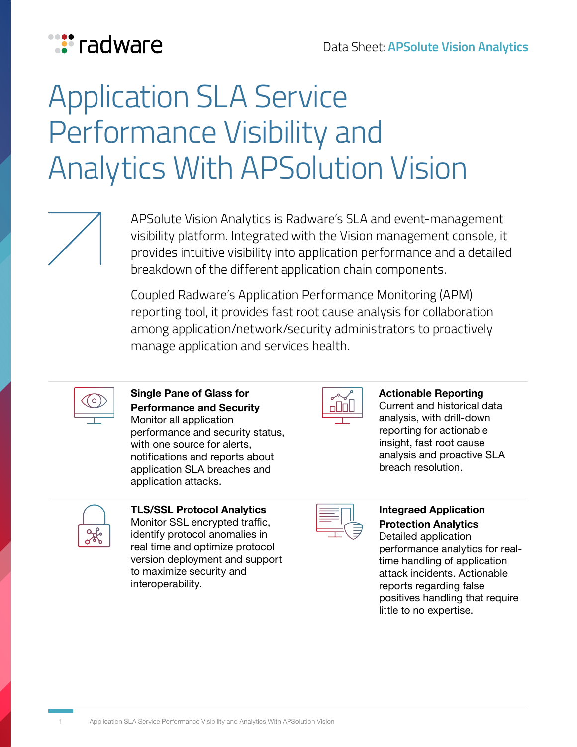

# **Application SLA Service** Performance Visibility and **Analytics With APSolution Vision**

APSolute Vision Analytics is Radware's SLA and event-management visibility platform. Integrated with the Vision management console, it provides intuitive visibility into application performance and a detailed breakdown of the different application chain components.

Coupled Radware's Application Performance Monitoring (APM) reporting tool, it provides fast root cause analysis for collaboration among application/network/security administrators to proactively manage application and services health.



**Single Pane of Glass for Performance and Security** Monitor all application performance and security status, with one source for alerts, notifications and reports about application SLA breaches and application attacks.



**Reporting Actionable** Current and historical data analysis, with drill-down reporting for actionable insight, fast root cause analysis and proactive SLA breach resolution.

| n |
|---|

**TLS/SSL Protocol Analytics** Monitor SSL encrypted traffic, identify protocol anomalies in real time and optimize protocol version deployment and support to maximize security and .interoperability

#### **Integraed Application Protection Analytics**

Detailed application time handling of application performance analytics for realattack incidents. Actionable reports regarding false positives handling that require little to no expertise.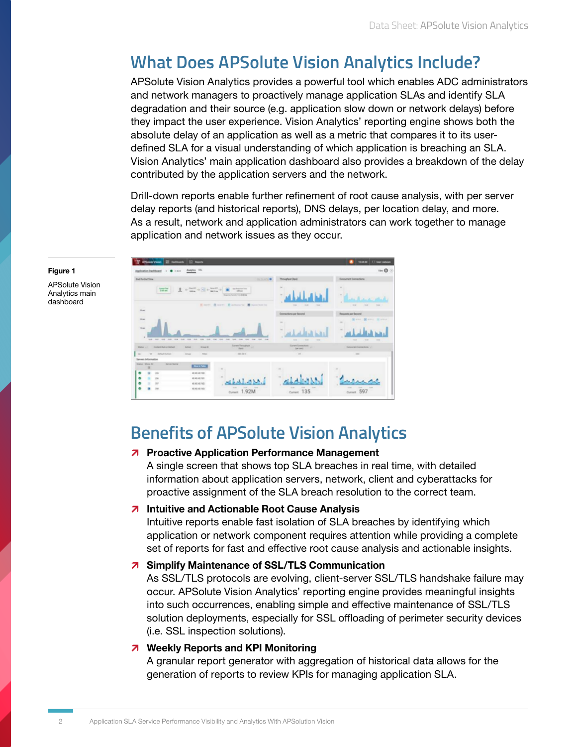## **What Does APSolute Vision Analytics Include?**

APSolute Vision Analytics provides a powerful tool which enables ADC administrators and network managers to proactively manage application SLAs and identify SLA degradation and their source (e.g. application slow down or network delays) before they impact the user experience. Vision Analytics' reporting engine shows both the defined SLA for a visual understanding of which application is breaching an SLA. absolute delay of an application as well as a metric that compares it to its user-Vision Analytics' main application dashboard also provides a breakdown of the delay contributed by the application servers and the network.

Drill-down reports enable further refinement of root cause analysis, with per server delay reports (and historical reports). DNS delays, per location delay, and more. As a result, network and application administrators can work together to manage application and network issues as they occur.



#### **1 Figure**

**APSolute Vision** Analytics main dashboard

## **Benefits of APSolute Vision Analytics**

#### *M* Proactive Application Performance Management

A single screen that shows top SLA breaches in real time, with detailed information about application servers, network, client and cyberattacks for proactive assignment of the SLA breach resolution to the correct team.

#### **A** Intuitive and Actionable Root Cause Analysis

Intuitive reports enable fast isolation of SLA breaches by identifying which application or network component requires attention while providing a complete set of reports for fast and effective root cause analysis and actionable insights.

#### **7** Simplify Maintenance of SSL/TLS Communication

As SSL/TLS protocols are evolving, client-server SSL/TLS handshake failure may occur. APSolute Vision Analytics' reporting engine provides meaningful insights into such occurrences, enabling simple and effective maintenance of SSL/TLS solution deployments, especially for SSL offloading of perimeter security devices (i.e. SSL inspection solutions).

#### *A* Weekly Reports and KPI Monitoring

A granular report generator with aggregation of historical data allows for the generation of reports to review KPIs for managing application SLA.